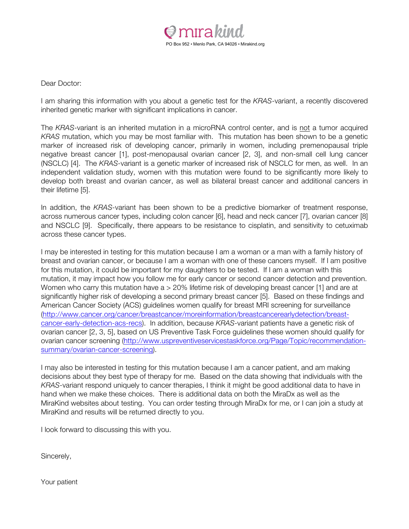

Dear Doctor:

I am sharing this information with you about a genetic test for the *KRAS*-variant, a recently discovered inherited genetic marker with significant implications in cancer.

The *KRAS*-variant is an inherited mutation in a microRNA control center, and is not a tumor acquired *KRAS* mutation, which you may be most familiar with. This mutation has been shown to be a genetic marker of increased risk of developing cancer, primarily in women, including premenopausal triple negative breast cancer [1], post-menopausal ovarian cancer [2, 3], and non-small cell lung cancer (NSCLC) [4]. The *KRAS-*variant is a genetic marker of increased risk of NSCLC for men, as well. In an independent validation study, women with this mutation were found to be significantly more likely to develop both breast and ovarian cancer, as well as bilateral breast cancer and additional cancers in their lifetime [5].

In addition, the *KRAS-*variant has been shown to be a predictive biomarker of treatment response, across numerous cancer types, including colon cancer [6], head and neck cancer [7], ovarian cancer [8] and NSCLC [9]. Specifically, there appears to be resistance to cisplatin, and sensitivity to cetuximab across these cancer types.

I may be interested in testing for this mutation because I am a woman or a man with a family history of breast and ovarian cancer, or because I am a woman with one of these cancers myself. If I am positive for this mutation, it could be important for my daughters to be tested. If I am a woman with this mutation, it may impact how you follow me for early cancer or second cancer detection and prevention. Women who carry this mutation have a > 20% lifetime risk of developing breast cancer [1] and are at significantly higher risk of developing a second primary breast cancer [5]. Based on these findings and American Cancer Society (ACS) guidelines women qualify for breast MRI screening for surveillance (http://www.cancer.org/cancer/breastcancer/moreinformation/breastcancerearlydetection/breastcancer-early-detection-acs-recs). In addition, because *KRAS-*variant patients have a genetic risk of ovarian cancer [2, 3, 5], based on US Preventive Task Force guidelines these women should qualify for ovarian cancer screening (http://www.uspreventiveservicestaskforce.org/Page/Topic/recommendationsummary/ovarian-cancer-screening).

I may also be interested in testing for this mutation because I am a cancer patient, and am making decisions about they best type of therapy for me. Based on the data showing that individuals with the *KRAS-*variant respond uniquely to cancer therapies, I think it might be good additional data to have in hand when we make these choices. There is additional data on both the MiraDx as well as the MiraKind websites about testing. You can order testing through MiraDx for me, or I can join a study at MiraKind and results will be returned directly to you.

I look forward to discussing this with you.

Sincerely,

Your patient